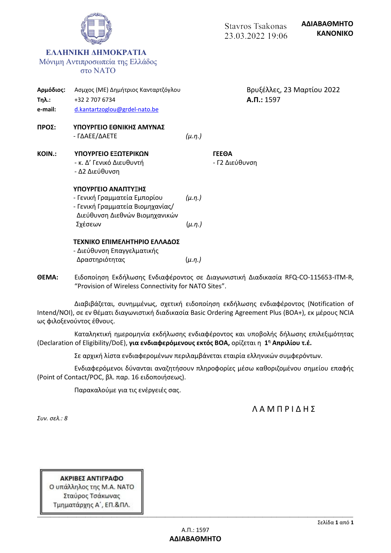|                                      |                                                                                                                           |               | <b>Stavros Tsakonas</b><br>23.03.2022 19:06  | ΑΔΙΑΒΑΘΜΗΤΟ<br><b>KANONIKO</b> |
|--------------------------------------|---------------------------------------------------------------------------------------------------------------------------|---------------|----------------------------------------------|--------------------------------|
|                                      | <b>EAAHNIKH AHMOKPATIA</b><br>Μόνιμη Αντιπροσωπεία της Ελλάδος<br>στο ΝΑΤΟ                                                |               |                                              |                                |
| Αρμόδιος:<br><b>Τηλ.:</b><br>e-mail: | Ασμχος (ΜΕ) Δημήτριος Κανταρτζόγλου<br>+32 2 707 6734<br>d.kantartzoglou@grdel-nato.be                                    |               | Βρυξέλλες, 23 Μαρτίου 2022<br>$A.\Pi.: 1597$ |                                |
| ΠΡΟΣ:                                | ΥΠΟΥΡΓΕΙΟ ΕΘΝΙΚΗΣ ΑΜΥΝΑΣ<br>- ΓΔΑΕΕ/ΔΑΕΤΕ                                                                                 | $(\mu.\eta.)$ |                                              |                                |
| KOIN.:                               | ΥΠΟΥΡΓΕΙΟ ΕΞΩΤΕΡΙΚΩΝ<br>- κ. Δ' Γενικό Διευθυντή<br>- Δ2 Διεύθυνση                                                        |               | <b><i>TEEOA</i></b><br>- Γ2 Διεύθυνση        |                                |
|                                      | ΥΠΟΥΡΓΕΙΟ ΑΝΑΠΤΥΞΗΣ<br>- Γενική Γραμματεία Εμπορίου<br>- Γενική Γραμματεία Βιομηχανίας/<br>Διεύθυνση Διεθνών Βιομηχανικών | $(\mu.n.)$    |                                              |                                |
|                                      | Σχέσεων                                                                                                                   | $(\mu.\eta.)$ |                                              |                                |
|                                      | ΤΕΧΝΙΚΟ ΕΠΙΜΕΛΗΤΗΡΙΟ ΕΛΛΑΔΟΣ<br>- Διεύθυνση Επαγγελματικής                                                                |               |                                              |                                |
|                                      | Δραστηριότητας                                                                                                            | $(\mu.\eta.)$ |                                              |                                |

**ΘΕΜΑ:** Ειδοποίηση Εκδήλωσης Ενδιαφέροντος σε Διαγωνιστική Διαδικασία RFQ-CO-115653-ITM-R, "Provision of Wireless Connectivity for NATO Sites".

Διαβιβάζεται, συνημμένως, σχετική ειδοποίηση εκδήλωσης ενδιαφέροντος (Notification of Intend/ΝΟΙ), σε εν θέματι διαγωνιστική διαδικασία Basic Ordering Agreement Plus (BOA+), εκ μέρους NCIA ως φιλοξενούντος έθνους.

Καταληκτική ημερομηνία εκδήλωσης ενδιαφέροντος και υποβολής δήλωσης επιλεξιμότητας (Declaration of Eligibility/DoE), **για ενδιαφερόμενους εκτός ΒΟΑ,** ορίζεται η **1 <sup>η</sup> Απριλίου τ.έ.**

Σε αρχική λίστα ενδιαφερομένων περιλαμβάνεται εταιρία ελληνικών συμφερόντων.

Ενδιαφερόμενοι δύνανται αναζητήσουν πληροφορίες μέσω καθοριζομένου σημείου επαφής (Point of Contact/POC, βλ. παρ. 16 ειδοποιήσεως).

Παρακαλούμε για τις ενέργειές σας.

## Λ Α Μ Π Ρ Ι Δ Η Σ

*Συν. σελ.: 8*

ΑΚΡΙΒΕΣ ΑΝΤΙΓΡΑΦΟ Ο υπάλληλος της Μ.Α. ΝΑΤΟ Σταύρος Τσάκωνας Τμηματάρχης Α΄, ΕΠ.&ΠΛ.

**-------------------------------------------------------------------------------------------------------------------------------------------------------------------------------------------------------------------------------------------------------------------------------------------------**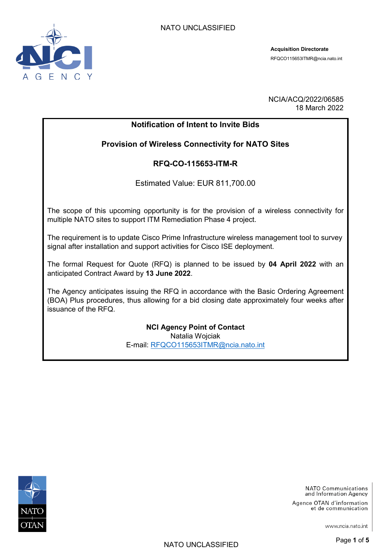

**Acquisition Directorate**  RFQCO115653ITMR@ncia.nato.int

NCIA/ACQ/2022/06585 18 March 2022

# **Notification of Intent to Invite Bids**

# **Provision of Wireless Connectivity for NATO Sites**

# **RFQ-CO-115653-ITM-R**

Estimated Value: EUR 811,700.00

The scope of this upcoming opportunity is for the provision of a wireless connectivity for multiple NATO sites to support ITM Remediation Phase 4 project.

The requirement is to update Cisco Prime Infrastructure wireless management tool to survey signal after installation and support activities for Cisco ISE deployment.

The formal Request for Quote (RFQ) is planned to be issued by **04 April 2022** with an anticipated Contract Award by **13 June 2022**.

The Agency anticipates issuing the RFQ in accordance with the Basic Ordering Agreement (BOA) Plus procedures, thus allowing for a bid closing date approximately four weeks after issuance of the RFQ.

> **NCI Agency Point of Contact** Natalia Wojciak E-mail: [RFQCO115653ITMR@ncia.nato.int](mailto:natalia.wojciak@ncia.nato.int)



**NATO Communications** and Information Agency

Agence OTAN d'information et de communication

www.ncia.nato.int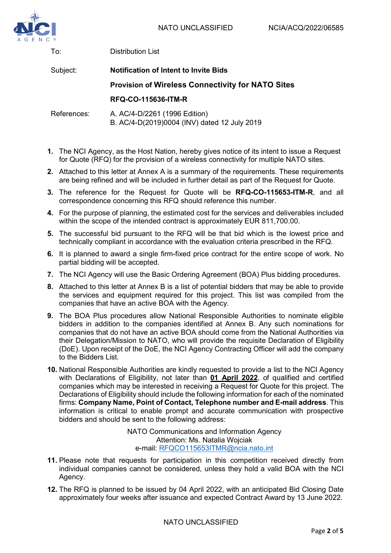

To:

Distribution List

| Subject:    | <b>Notification of Intent to Invite Bids</b>                                  |
|-------------|-------------------------------------------------------------------------------|
|             | <b>Provision of Wireless Connectivity for NATO Sites</b>                      |
|             | <b>RFQ-CO-115636-ITM-R</b>                                                    |
| References: | A. AC/4-D/2261 (1996 Edition)<br>B. AC/4-D(2019)0004 (INV) dated 12 July 2019 |

- **1.** The NCI Agency, as the Host Nation, hereby gives notice of its intent to issue a Request for Quote (RFQ) for the provision of a wireless connectivity for multiple NATO sites.
- **2.** Attached to this letter at Annex A is a summary of the requirements. These requirements are being refined and will be included in further detail as part of the Request for Quote.
- **3.** The reference for the Request for Quote will be **RFQ-CO-115653-ITM-R**, and all correspondence concerning this RFQ should reference this number.
- **4.** For the purpose of planning, the estimated cost for the services and deliverables included within the scope of the intended contract is approximately EUR 811,700.00.
- **5.** The successful bid pursuant to the RFQ will be that bid which is the lowest price and technically compliant in accordance with the evaluation criteria prescribed in the RFQ.
- **6.** It is planned to award a single firm-fixed price contract for the entire scope of work. No partial bidding will be accepted.
- **7.** The NCI Agency will use the Basic Ordering Agreement (BOA) Plus bidding procedures.
- **8.** Attached to this letter at Annex B is a list of potential bidders that may be able to provide the services and equipment required for this project. This list was compiled from the companies that have an active BOA with the Agency.
- **9.** The BOA Plus procedures allow National Responsible Authorities to nominate eligible bidders in addition to the companies identified at Annex B. Any such nominations for companies that do not have an active BOA should come from the National Authorities via their Delegation/Mission to NATO, who will provide the requisite Declaration of Eligibility (DoE). Upon receipt of the DoE, the NCI Agency Contracting Officer will add the company to the Bidders List.
- **10.** National Responsible Authorities are kindly requested to provide a list to the NCI Agency with Declarations of Eligibility, not later than **01 April 2022**, of qualified and certified companies which may be interested in receiving a Request for Quote for this project. The Declarations of Eligibility should include the following information for each of the nominated firms: **Company Name, Point of Contact, Telephone number and E-mail address**. This information is critical to enable prompt and accurate communication with prospective bidders and should be sent to the following address:

NATO Communications and Information Agency Attention: Ms. Natalia Wojciak e-mail: [RFQCO115653ITMR@ncia.nato.int](mailto:RFQCO115653ITMR@ncia.nato.int)

- **11.** Please note that requests for participation in this competition received directly from individual companies cannot be considered, unless they hold a valid BOA with the NCI Agency.
- **12.** The RFQ is planned to be issued by 04 April 2022, with an anticipated Bid Closing Date approximately four weeks after issuance and expected Contract Award by 13 June 2022.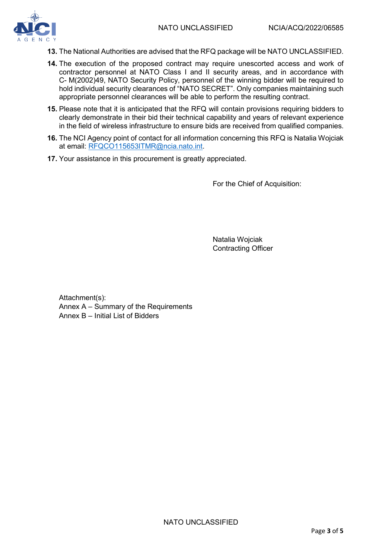

- **13.** The National Authorities are advised that the RFQ package will be NATO UNCLASSIFIED.
- **14.** The execution of the proposed contract may require unescorted access and work of contractor personnel at NATO Class I and II security areas, and in accordance with C- M(2002)49, NATO Security Policy, personnel of the winning bidder will be required to hold individual security clearances of "NATO SECRET". Only companies maintaining such appropriate personnel clearances will be able to perform the resulting contract.
- **15.** Please note that it is anticipated that the RFQ will contain provisions requiring bidders to clearly demonstrate in their bid their technical capability and years of relevant experience in the field of wireless infrastructure to ensure bids are received from qualified companies.
- **16.** The NCI Agency point of contact for all information concerning this RFQ is Natalia Wojciak at email: [RFQCO115653ITMR@ncia.nato.int.](mailto:natalia.wojciak@ncia.nato.int)
- **17.** Your assistance in this procurement is greatly appreciated.

For the Chief of Acquisition:

Natalia Wojciak Contracting Officer

Attachment(s): Annex A – Summary of the Requirements Annex B – Initial List of Bidders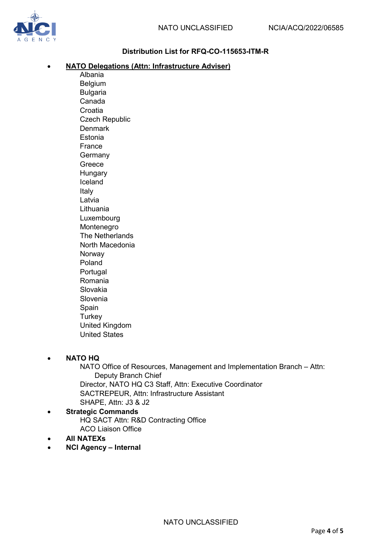

### **Distribution List for RFQ-CO-115653-ITM-R**

### • **NATO Delegations (Attn: Infrastructure Adviser)**

Albania Belgium Bulgaria Canada **Croatia** Czech Republic **Denmark** Estonia France Germany Greece **Hungary** Iceland Italy Latvia Lithuania Luxembourg Montenegro The Netherlands North Macedonia Norway Poland **Portugal** Romania Slovakia Slovenia Spain **Turkey** United Kingdom United States

### • **NATO HQ**

NATO Office of Resources, Management and Implementation Branch – Attn: Deputy Branch Chief Director, NATO HQ C3 Staff, Attn: Executive Coordinator SACTREPEUR, Attn: Infrastructure Assistant SHAPE, Attn: J3 & J2

- **Strategic Commands** HQ SACT Attn: R&D Contracting Office ACO Liaison Office
- **All NATEXs**
- **NCI Agency Internal**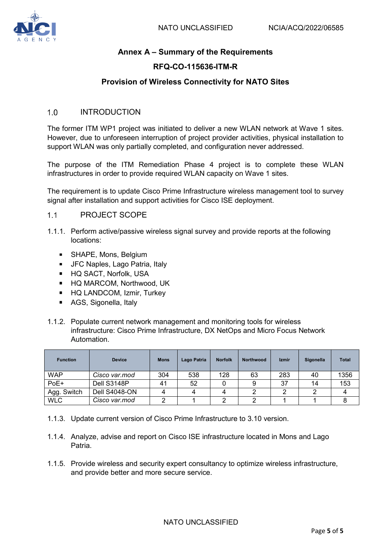### **Annex A – Summary of the Requirements**

#### **RFQ-CO-115636-ITM-R**

#### **Provision of Wireless Connectivity for NATO Sites**

#### $1.0$ INTRODUCTION

The former ITM WP1 project was initiated to deliver a new WLAN network at Wave 1 sites. However, due to unforeseen interruption of project provider activities, physical installation to support WLAN was only partially completed, and configuration never addressed.

The purpose of the ITM Remediation Phase 4 project is to complete these WLAN infrastructures in order to provide required WLAN capacity on Wave 1 sites.

The requirement is to update Cisco Prime Infrastructure wireless management tool to survey signal after installation and support activities for Cisco ISE deployment.

#### $1.1$ PROJECT SCOPE

- 1.1.1. Perform active/passive wireless signal survey and provide reports at the following locations:
	- **SHAPE, Mons, Belgium**
	- **JFC Naples, Lago Patria, Italy**
	- **HQ SACT, Norfolk, USA**
	- HQ MARCOM, Northwood, UK
	- **HQ LANDCOM, Izmir, Turkey**
	- AGS, Sigonella, Italy
- 1.1.2. Populate current network management and monitoring tools for wireless infrastructure: Cisco Prime Infrastructure, DX NetOps and Micro Focus Network Automation.

| <b>Function</b> | <b>Device</b> | <b>Mons</b> | Lago Patria | <b>Norfolk</b> | Northwood | Izmir | Sigonella | <b>Total</b> |
|-----------------|---------------|-------------|-------------|----------------|-----------|-------|-----------|--------------|
| <b>WAP</b>      | Cisco var.mod | 304         | 538         | 128            | 63        | 283   | 40        | 1356         |
| PoE+            | Dell S3148P   | 41          | 52          |                |           | 37    | 14        | 153          |
| Agg. Switch     | Dell S4048-ON |             |             |                |           |       |           |              |
| <b>WLC</b>      | Cisco var.mod |             |             |                |           |       |           |              |

- 1.1.3. Update current version of Cisco Prime Infrastructure to 3.10 version.
- 1.1.4. Analyze, advise and report on Cisco ISE infrastructure located in Mons and Lago Patria.
- 1.1.5. Provide wireless and security expert consultancy to optimize wireless infrastructure, and provide better and more secure service.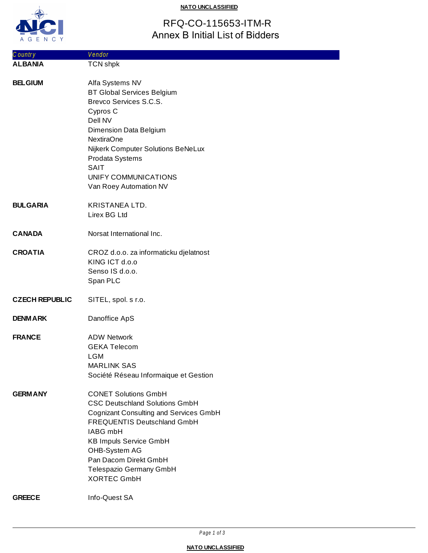

#### **NATO UNCLASSIFIED**

# RFQ-CO-115653-ITM-R Annex B Initial List of Bidders

| Country               | Vendor                                                                                                                                                                                                                                                                                              |
|-----------------------|-----------------------------------------------------------------------------------------------------------------------------------------------------------------------------------------------------------------------------------------------------------------------------------------------------|
| <b>ALBANIA</b>        | <b>TCN shpk</b>                                                                                                                                                                                                                                                                                     |
| <b>BELGIUM</b>        | Alfa Systems NV<br><b>BT Global Services Belgium</b><br>Brevco Services S.C.S.<br>Cypros C<br>Dell NV<br>Dimension Data Belgium<br><b>NextiraOne</b><br>Nijkerk Computer Solutions BeNeLux<br>Prodata Systems<br><b>SAIT</b><br>UNIFY COMMUNICATIONS<br>Van Roey Automation NV                      |
| <b>BULGARIA</b>       | <b>KRISTANEA LTD.</b><br>Lirex BG Ltd                                                                                                                                                                                                                                                               |
| <b>CANADA</b>         | Norsat International Inc.                                                                                                                                                                                                                                                                           |
| <b>CROATIA</b>        | CROZ d.o.o. za informaticku djelatnost<br>KING ICT d.o.o<br>Senso IS d.o.o.<br>Span PLC                                                                                                                                                                                                             |
| <b>CZECH REPUBLIC</b> | SITEL, spol. s r.o.                                                                                                                                                                                                                                                                                 |
| <b>DENMARK</b>        | Danoffice ApS                                                                                                                                                                                                                                                                                       |
| <b>FRANCE</b>         | <b>ADW Network</b><br><b>GEKA Telecom</b><br><b>LGM</b><br><b>MARLINK SAS</b><br>Société Réseau Informaique et Gestion                                                                                                                                                                              |
| <b>GERMANY</b>        | <b>CONET Solutions GmbH</b><br><b>CSC Deutschland Solutions GmbH</b><br><b>Cognizant Consulting and Services GmbH</b><br><b>FREQUENTIS Deutschland GmbH</b><br>IABG mbH<br><b>KB Impuls Service GmbH</b><br>OHB-System AG<br>Pan Dacom Direkt GmbH<br>Telespazio Germany GmbH<br><b>XORTEC GmbH</b> |
| <b>GREECE</b>         | Info-Quest SA                                                                                                                                                                                                                                                                                       |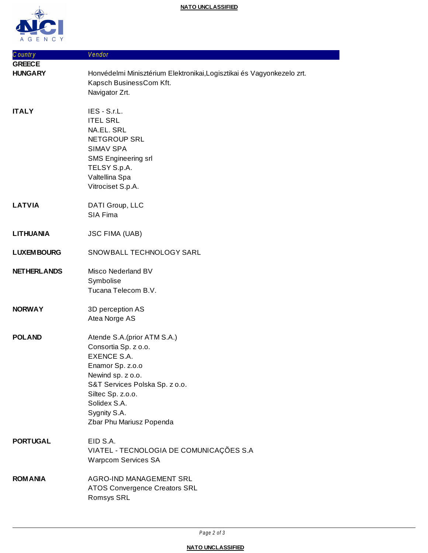

| Country            | Vendor                                                                                                                                                                                                                                 |
|--------------------|----------------------------------------------------------------------------------------------------------------------------------------------------------------------------------------------------------------------------------------|
| <b>GREECE</b>      |                                                                                                                                                                                                                                        |
| <b>HUNGARY</b>     | Honvédelmi Minisztérium Elektronikai, Logisztikai és Vagyonkezelo zrt.<br>Kapsch BusinessCom Kft.<br>Navigator Zrt.                                                                                                                    |
| <b>ITALY</b>       | IES - S.r.L.<br><b>ITEL SRL</b><br>NA.EL. SRL<br>NETGROUP SRL<br><b>SIMAV SPA</b><br><b>SMS Engineering srl</b><br>TELSY S.p.A.<br>Valtellina Spa<br>Vitrociset S.p.A.                                                                 |
| <b>LATVIA</b>      | DATI Group, LLC<br>SIA Fima                                                                                                                                                                                                            |
| <b>LITHUANIA</b>   | <b>JSC FIMA (UAB)</b>                                                                                                                                                                                                                  |
| <b>LUXEM BOURG</b> | SNOWBALL TECHNOLOGY SARL                                                                                                                                                                                                               |
| <b>NETHERLANDS</b> | Misco Nederland BV<br>Symbolise<br>Tucana Telecom B.V.                                                                                                                                                                                 |
| <b>NORWAY</b>      | 3D perception AS<br>Atea Norge AS                                                                                                                                                                                                      |
| <b>POLAND</b>      | Atende S.A. (prior ATM S.A.)<br>Consortia Sp. z o.o.<br><b>EXENCE S.A.</b><br>Enamor Sp. z.o.o<br>Newind sp. z o.o.<br>S&T Services Polska Sp. z o.o.<br>Siltec Sp. z.o.o.<br>Solidex S.A.<br>Sygnity S.A.<br>Zbar Phu Mariusz Popenda |
| <b>PORTUGAL</b>    | EID S.A.<br>VIATEL - TECNOLOGIA DE COMUNICAÇÕES S.A<br><b>Warpcom Services SA</b>                                                                                                                                                      |
| <b>ROM ANIA</b>    | <b>AGRO-IND MANAGEMENT SRL</b><br><b>ATOS Convergence Creators SRL</b><br>Romsys SRL                                                                                                                                                   |